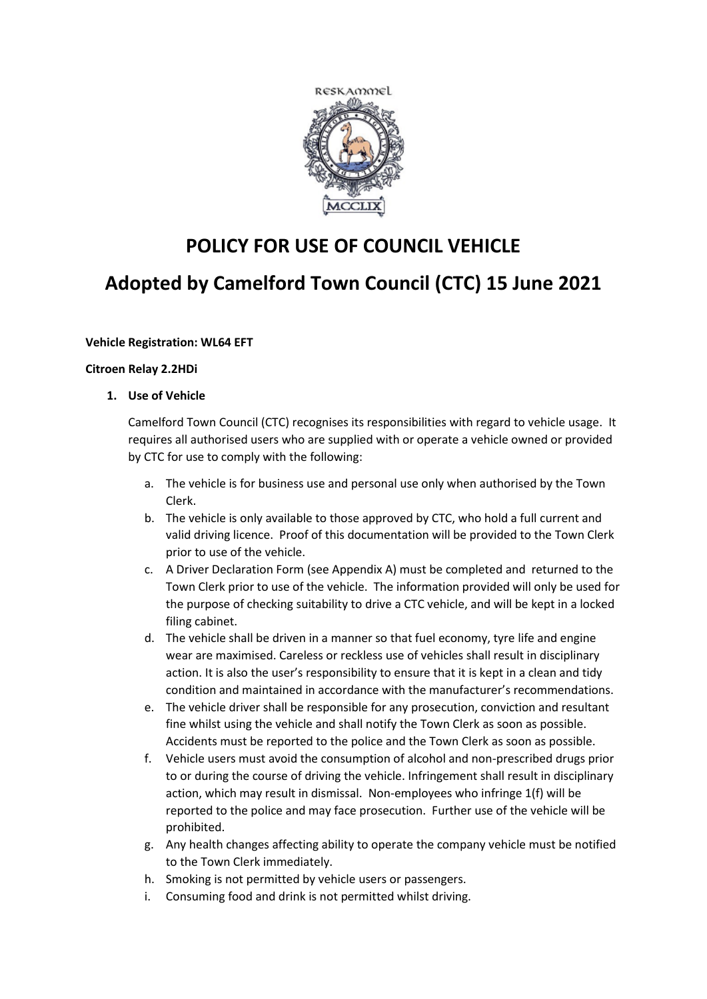

# **POLICY FOR USE OF COUNCIL VEHICLE**

# **Adopted by Camelford Town Council (CTC) 15 June 2021**

# **Vehicle Registration: WL64 EFT**

#### **Citroen Relay 2.2HDi**

**1. Use of Vehicle**

Camelford Town Council (CTC) recognises its responsibilities with regard to vehicle usage. It requires all authorised users who are supplied with or operate a vehicle owned or provided by CTC for use to comply with the following:

- a. The vehicle is for business use and personal use only when authorised by the Town Clerk.
- b. The vehicle is only available to those approved by CTC, who hold a full current and valid driving licence. Proof of this documentation will be provided to the Town Clerk prior to use of the vehicle.
- c. A Driver Declaration Form (see Appendix A) must be completed and returned to the Town Clerk prior to use of the vehicle. The information provided will only be used for the purpose of checking suitability to drive a CTC vehicle, and will be kept in a locked filing cabinet.
- d. The vehicle shall be driven in a manner so that fuel economy, tyre life and engine wear are maximised. Careless or reckless use of vehicles shall result in disciplinary action. It is also the user's responsibility to ensure that it is kept in a clean and tidy condition and maintained in accordance with the manufacturer's recommendations.
- e. The vehicle driver shall be responsible for any prosecution, conviction and resultant fine whilst using the vehicle and shall notify the Town Clerk as soon as possible. Accidents must be reported to the police and the Town Clerk as soon as possible.
- f. Vehicle users must avoid the consumption of alcohol and non-prescribed drugs prior to or during the course of driving the vehicle. Infringement shall result in disciplinary action, which may result in dismissal. Non-employees who infringe 1(f) will be reported to the police and may face prosecution. Further use of the vehicle will be prohibited.
- g. Any health changes affecting ability to operate the company vehicle must be notified to the Town Clerk immediately.
- h. Smoking is not permitted by vehicle users or passengers.
- i. Consuming food and drink is not permitted whilst driving.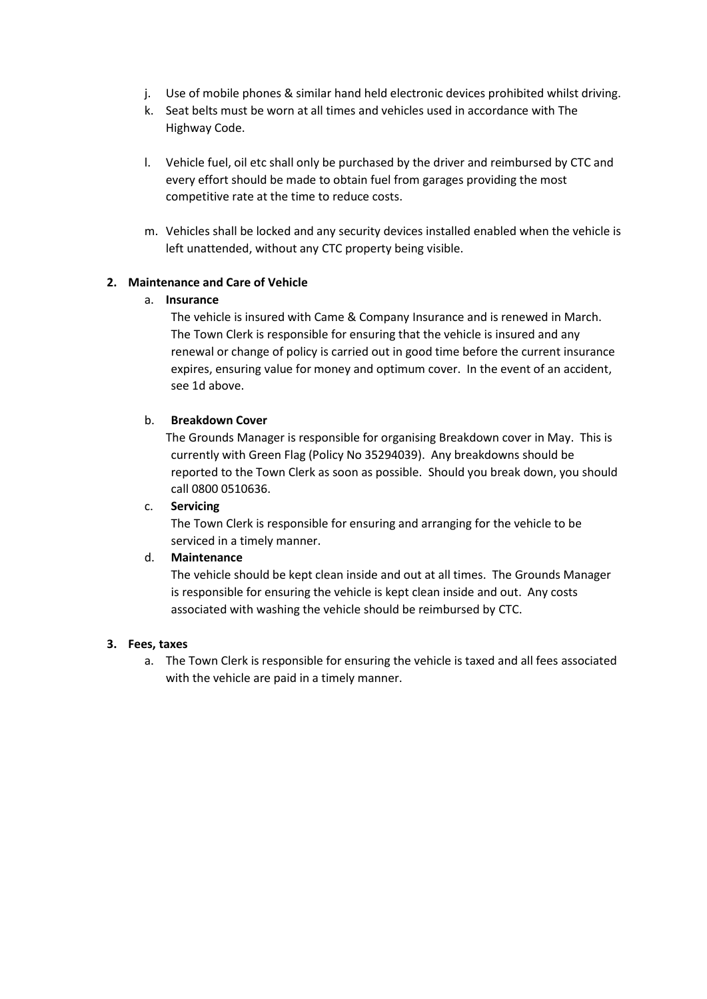- j. Use of mobile phones & similar hand held electronic devices prohibited whilst driving.
- k. Seat belts must be worn at all times and vehicles used in accordance with The Highway Code.
- l. Vehicle fuel, oil etc shall only be purchased by the driver and reimbursed by CTC and every effort should be made to obtain fuel from garages providing the most competitive rate at the time to reduce costs.
- m. Vehicles shall be locked and any security devices installed enabled when the vehicle is left unattended, without any CTC property being visible.

## **2. Maintenance and Care of Vehicle**

## a. **Insurance**

The vehicle is insured with Came & Company Insurance and is renewed in March. The Town Clerk is responsible for ensuring that the vehicle is insured and any renewal or change of policy is carried out in good time before the current insurance expires, ensuring value for money and optimum cover. In the event of an accident, see 1d above.

## b. **Breakdown Cover**

The Grounds Manager is responsible for organising Breakdown cover in May. This is currently with Green Flag (Policy No 35294039). Any breakdowns should be reported to the Town Clerk as soon as possible. Should you break down, you should call 0800 0510636.

# c. **Servicing**

The Town Clerk is responsible for ensuring and arranging for the vehicle to be serviced in a timely manner.

# d. **Maintenance**

The vehicle should be kept clean inside and out at all times. The Grounds Manager is responsible for ensuring the vehicle is kept clean inside and out. Any costs associated with washing the vehicle should be reimbursed by CTC.

# **3. Fees, taxes**

a. The Town Clerk is responsible for ensuring the vehicle is taxed and all fees associated with the vehicle are paid in a timely manner.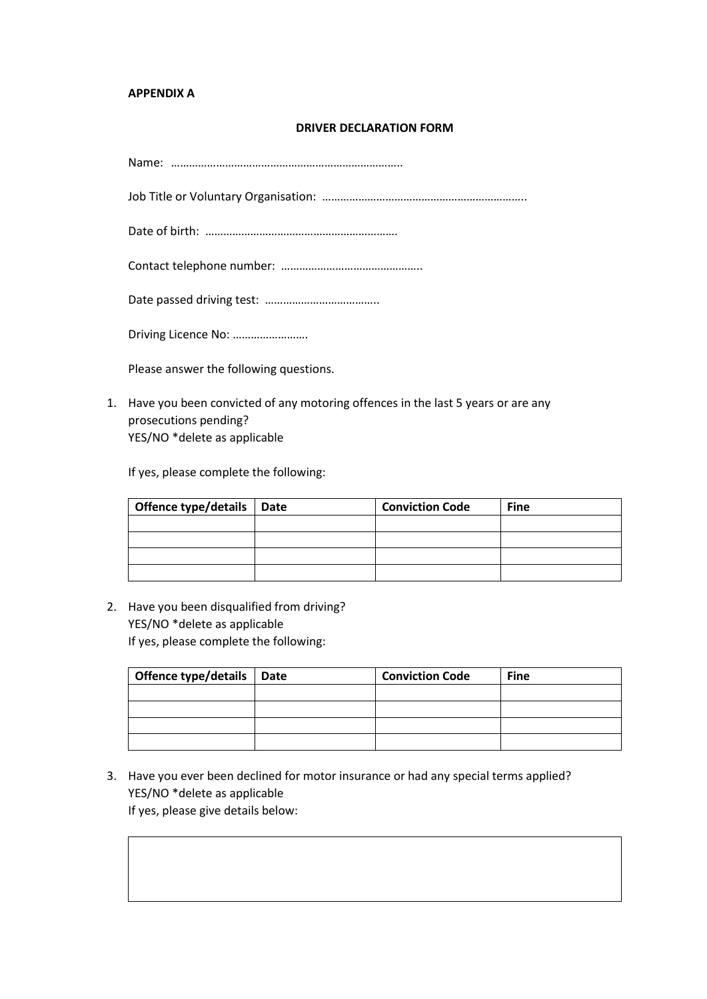#### **APPENDIX A**

#### **DRIVER DECLARATION FORM**

Name: …………………………………………………………………..

Job Title or Voluntary Organisation: …………………………………………………………..

Date of birth: ……………………………………………………….

Contact telephone number: ………………………………………..

Date passed driving test: ………………………………..

Driving Licence No: …………………….

Please answer the following questions.

1. Have you been convicted of any motoring offences in the last 5 years or are any prosecutions pending? YES/NO \*delete as applicable

If yes, please complete the following:

| Offence type/details   Date | <b>Conviction Code</b> | <b>Fine</b> |
|-----------------------------|------------------------|-------------|
|                             |                        |             |
|                             |                        |             |
|                             |                        |             |
|                             |                        |             |

2. Have you been disqualified from driving? YES/NO \*delete as applicable If yes, please complete the following:

| Offence type/details   Date | <b>Conviction Code</b> | <b>Fine</b> |
|-----------------------------|------------------------|-------------|
|                             |                        |             |
|                             |                        |             |
|                             |                        |             |
|                             |                        |             |

3. Have you ever been declined for motor insurance or had any special terms applied? YES/NO \*delete as applicable If yes, please give details below: